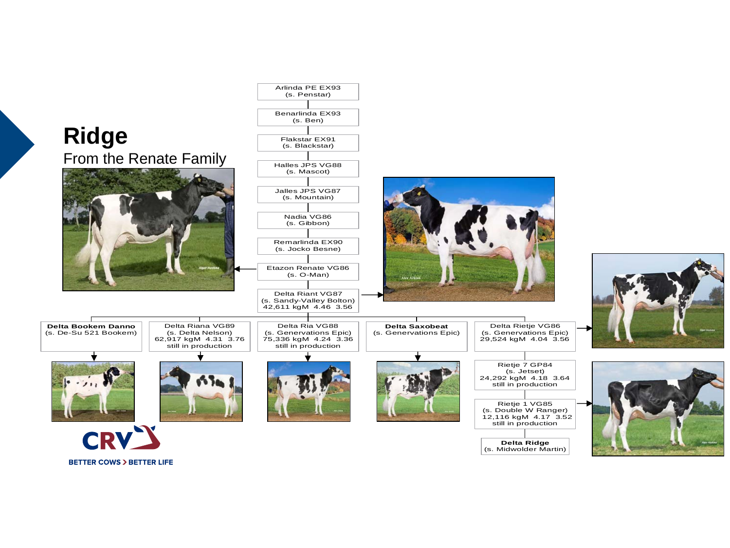